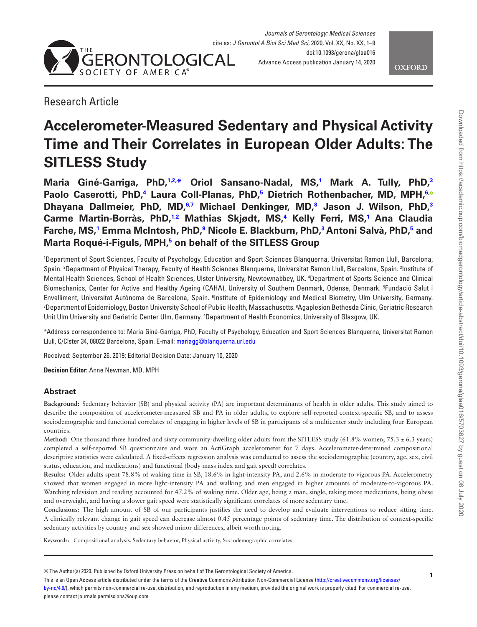



# Research Article

# **Accelerometer-Measured Sedentary and Physical Activity Time and Their Correlates in European Older Adults: The SITLESS Study**

**Maria Giné-Garriga, PhD[,1,](#page-0-0)[2,](#page-0-1) [\\*](#page-0-2) Oriol Sansano-Nadal, MS[,1](#page-0-0) Mark A. Tully, PhD,[3](#page-0-3) Paolo Caserotti, PhD,[4](#page-0-4) Laura Coll-Planas, PhD,[5](#page-0-5) Dietrich Rothenbacher, MD, MPH,[6](#page-0-6)[,](http://orcid.org/0000-0002-3563-2791) Dhayana Dallmeier, PhD, MD[,6](#page-0-6),[7](#page-0-7) Michael Denkinger, MD[,8](#page-0-8) Jason J. Wilson, PhD,[3](#page-0-3) Carme Martin-Borràs, PhD,[1,](#page-0-0)[2](#page-0-1) Mathias Skjødt, MS[,4](#page-0-4) Kelly Ferri, MS,[1](#page-0-0) Ana Claudia Farche, MS[,1](#page-0-0) Emma McIntosh, PhD,[9](#page-0-9) Nicole E. Blackburn, PhD[,3](#page-0-3) Antoni Salvà, PhD[,5](#page-0-5) and Marta Roqué-i-Figuls, MPH,[5](#page-0-5) on behalf of the SITLESS Group**

<span id="page-0-5"></span><span id="page-0-4"></span><span id="page-0-3"></span><span id="page-0-1"></span><span id="page-0-0"></span>1 Department of Sport Sciences, Faculty of Psychology, Education and Sport Sciences Blanquerna, Universitat Ramon Llull, Barcelona, Spain. <sup>2</sup> Department of Physical Therapy, Faculty of Health Sciences Blanquerna, Universitat Ramon Llull, Barcelona, Spain. 3 Institute of Mental Health Sciences, School of Health Sciences, Ulster University, Newtownabbey, UK. 4 Department of Sports Science and Clinical Biomechanics, Center for Active and Healthy Ageing (CAHA), University of Southern Denmark, Odense, Denmark. 5 Fundació Salut i Envelliment, Universitat Autònoma de Barcelona, Spain. <sup>6</sup>Institute of Epidemiology and Medical Biometry, Ulm University, Germany. 7 Department of Epidemiology, Boston University School of Public Health, Massachusetts. 8 Agaplesion Bethesda Clinic, Geriatric Research Unit Ulm University and Geriatric Center Ulm, Germany. 9 Department of Health Economics, University of Glasgow, UK.

<span id="page-0-9"></span><span id="page-0-8"></span><span id="page-0-7"></span><span id="page-0-6"></span><span id="page-0-2"></span>\*Address correspondence to: Maria Giné-Garriga, PhD, Faculty of Psychology, Education and Sport Sciences Blanquerna, Universitat Ramon Llull, C/Císter 34, 08022 Barcelona, Spain. E-mail: [mariagg@blanquerna.url.edu](mailto:mariagg@blanquerna.url.edu?subject=)

Received: September 26, 2019; Editorial Decision Date: January 10, 2020

**Decision Editor:** Anne Newman, MD, MPH

# **Abstract**

**Background:** Sedentary behavior (SB) and physical activity (PA) are important determinants of health in older adults. This study aimed to describe the composition of accelerometer-measured SB and PA in older adults, to explore self-reported context-specific SB, and to assess sociodemographic and functional correlates of engaging in higher levels of SB in participants of a multicenter study including four European countries.

**Method:** One thousand three hundred and sixty community-dwelling older adults from the SITLESS study (61.8% women; 75.3  $\pm$  6.3 years) completed a self-reported SB questionnaire and wore an ActiGraph accelerometer for 7 days. Accelerometer-determined compositional descriptive statistics were calculated. A fixed-effects regression analysis was conducted to assess the sociodemographic (country, age, sex, civil status, education, and medications) and functional (body mass index and gait speed) correlates.

**Results:** Older adults spent 78.8% of waking time in SB, 18.6% in light-intensity PA, and 2.6% in moderate-to-vigorous PA. Accelerometry showed that women engaged in more light-intensity PA and walking and men engaged in higher amounts of moderate-to-vigorous PA. Watching television and reading accounted for 47.2% of waking time. Older age, being a man, single, taking more medications, being obese and overweight, and having a slower gait speed were statistically significant correlates of more sedentary time.

**Conclusions:** The high amount of SB of our participants justifies the need to develop and evaluate interventions to reduce sitting time. A clinically relevant change in gait speed can decrease almost 0.45 percentage points of sedentary time. The distribution of context-specific sedentary activities by country and sex showed minor differences, albeit worth noting.

**Keywords:** Compositional analysis, Sedentary behavior, Physical activity, Sociodemographic correlates

© The Author(s) 2020. Published by Oxford University Press on behalf of The Gerontological Society of America.

This is an Open Access article distributed under the terms of the Creative Commons Attribution Non-Commercial License [\(http://creativecommons.org/licenses/](http://creativecommons.org/licenses/by-nc/4.0/) [by-nc/4.0/](http://creativecommons.org/licenses/by-nc/4.0/)), which permits non-commercial re-use, distribution, and reproduction in any medium, provided the original work is properly cited. For commercial re-use, please contact journals.permissions@oup.com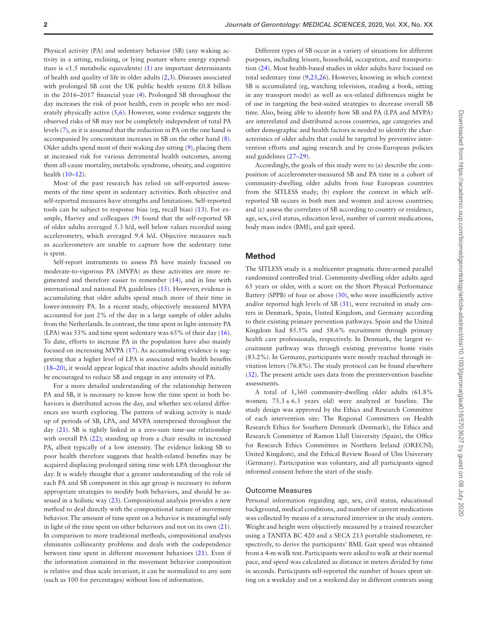Physical activity (PA) and sedentary behavior (SB) (any waking activity in a sitting, reclining, or lying posture where energy expenditure is <1.5 metabolic equivalents) [\(1\)](#page-6-0) are important determinants of health and quality of life in older adults ([2](#page-6-1)[,3\)](#page-6-2). Diseases associated with prolonged SB cost the UK public health system £0.8 billion in the 2016–2017 financial year ([4\)](#page-6-3). Prolonged SB throughout the day increases the risk of poor health, even in people who are moderately physically active  $(5,6)$  $(5,6)$  $(5,6)$ . However, some evidence suggests the observed risks of SB may not be completely independent of total PA levels ([7](#page-6-6)), as it is assumed that the reduction in PA on the one hand is accompanied by concomitant increases in SB on the other hand ([8](#page-6-7)). Older adults spend most of their waking day sitting ([9](#page-6-8)), placing them at increased risk for various detrimental health outcomes, among them all-cause mortality, metabolic syndrome, obesity, and cognitive health (10–12).

Most of the past research has relied on self-reported assessments of the time spent in sedentary activities. Both objective and self-reported measures have strengths and limitations. Self-reported tools can be subject to response bias (eg, recall bias) [\(13](#page-7-0)). For example, Harvey and colleagues [\(9\)](#page-6-8) found that the self-reported SB of older adults averaged 5.3 h/d, well below values recorded using accelerometry, which averaged 9.4 h/d. Objective measures such as accelerometers are unable to capture how the sedentary time is spent.

Self-report instruments to assess PA have mainly focused on moderate-to-vigorous PA (MVPA) as these activities are more regimented and therefore easier to remember [\(14](#page-7-1)), and in line with international and national PA guidelines [\(15\)](#page-7-2). However, evidence is accumulating that older adults spend much more of their time in lower-intensity PA. In a recent study, objectively measured MVPA accounted for just 2% of the day in a large sample of older adults from the Netherlands. In contrast, the time spent in light-intensity PA (LPA) was 33% and time spent sedentary was 65% of their day [\(16](#page-7-3)). To date, efforts to increase PA in the population have also mainly focused on increasing MVPA ([17\)](#page-7-4). As accumulating evidence is suggesting that a higher level of LPA is associated with health benefits (18–20), it would appear logical that inactive adults should initially be encouraged to reduce SB and engage in any intensity of PA.

For a more detailed understanding of the relationship between PA and SB, it is necessary to know how the time spent in both behaviors is distributed across the day, and whether sex-related differences are worth exploring. The pattern of waking activity is made up of periods of SB, LPA, and MVPA interspersed throughout the day [\(21](#page-7-5)). SB is tightly linked in a zero-sum time-use relationship with overall PA ([22\)](#page-7-6); standing up from a chair results in increased PA, albeit typically of a low intensity. The evidence linking SB to poor health therefore suggests that health-related benefits may be acquired displacing prolonged sitting time with LPA throughout the day. It is widely thought that a greater understanding of the role of each PA and SB component in this age group is necessary to inform appropriate strategies to modify both behaviors, and should be assessed in a holistic way ([23\)](#page-7-7). Compositional analysis provides a new method to deal directly with the compositional nature of movement behavior. The amount of time spent on a behavior is meaningful only in light of the time spent on other behaviors and not on its own [\(21](#page-7-5)). In comparison to more traditional methods, compositional analysis eliminates collinearity problems and deals with the codependence between time spent in different movement behaviors ([21\)](#page-7-5). Even if the information contained in the movement behavior composition is relative and thus scale invariant, it can be normalized to any sum (such as 100 for percentages) without loss of information.

Different types of SB occur in a variety of situations for different purposes, including leisure, household, occupation, and transportation [\(24](#page-7-8)). Most health-based studies in older adults have focused on total sedentary time ([9](#page-6-8)[,25](#page-7-9),[26](#page-7-10)). However, knowing in which context SB is accumulated (eg, watching television, reading a book, sitting in any transport mode) as well as sex-related differences might be of use in targeting the best-suited strategies to decrease overall SB time. Also, being able to identify how SB and PA (LPA and MVPA) are interrelated and distributed across countries, age categories and other demographic and health factors is needed to identify the characteristics of older adults that could be targeted by preventive intervention efforts and aging research and by cross-European policies and guidelines (27–29).

Accordingly, the goals of this study were to (a) describe the composition of accelerometer-measured SB and PA time in a cohort of community-dwelling older adults from four European countries from the SITLESS study; (b) explore the context in which selfreported SB occurs in both men and women and across countries; and (c) assess the correlates of SB according to country or residence, age, sex, civil status, education level, number of current medications, body mass index (BMI), and gait speed.

#### **Method**

The SITLESS study is a multicenter pragmatic three-armed parallel randomized controlled trial. Community-dwelling older adults aged 65 years or older, with a score on the Short Physical Performance Battery (SPPB) of four or above ([30\)](#page-7-11), who were insufficiently active and/or reported high levels of SB [\(31](#page-7-12)), were recruited in study centers in Denmark, Spain, United Kingdom, and Germany according to their existing primary prevention pathways. Spain and the United Kingdom had 85.5% and 58.6% recruitment through primary health care professionals, respectively. In Denmark, the largest recruitment pathway was through existing preventive home visits (83.2%). In Germany, participants were mostly reached through invitation letters (76.8%). The study protocol can be found elsewhere [\(32](#page-7-13)). The present article uses data from the preintervention baseline assessments.

A total of 1,360 community-dwelling older adults (61.8% women;  $75.3 \pm 6.3$  years old) were analyzed at baseline. The study design was approved by the Ethics and Research Committee of each intervention site: The Regional Committees on Health Research Ethics for Southern Denmark (Denmark), the Ethics and Research Committee of Ramon Llull University (Spain), the Office for Research Ethics Committees in Northern Ireland (ORECNI; United Kingdom), and the Ethical Review Board of Ulm University (Germany). Participation was voluntary, and all participants signed informed consent before the start of the study.

#### Outcome Measures

Personal information regarding age, sex, civil status, educational background, medical conditions, and number of current medications was collected by means of a structured interview in the study centers. Weight and height were objectively measured by a trained researcher using a TANITA BC 420 and a SECA 213 portable stadiometer, respectively, to derive the participants' BMI. Gait speed was obtained from a 4-m walk test. Participants were asked to walk at their normal pace, and speed was calculated as distance in meters divided by time in seconds. Participants self-reported the number of hours spent sitting on a weekday and on a weekend day in different contexts using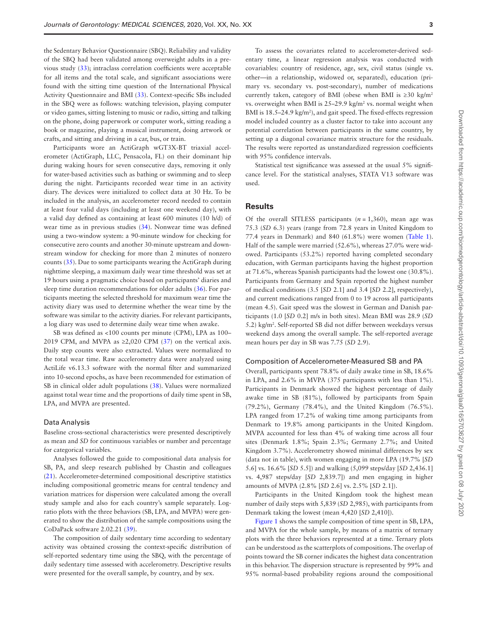the Sedentary Behavior Questionnaire (SBQ). Reliability and validity of the SBQ had been validated among overweight adults in a previous study ([33\)](#page-7-14); intraclass correlation coefficients were acceptable for all items and the total scale, and significant associations were found with the sitting time question of the International Physical Activity Questionnaire and BMI [\(33](#page-7-14)). Context-specific SBs included in the SBQ were as follows: watching television, playing computer or video games, sitting listening to music or radio, sitting and talking on the phone, doing paperwork or computer work, sitting reading a book or magazine, playing a musical instrument, doing artwork or crafts, and sitting and driving in a car, bus, or train.

Participants wore an ActiGraph wGT3X-BT triaxial accelerometer (ActiGraph, LLC, Pensacola, FL) on their dominant hip during waking hours for seven consecutive days, removing it only for water-based activities such as bathing or swimming and to sleep during the night. Participants recorded wear time in an activity diary. The devices were initialized to collect data at 30 Hz. To be included in the analysis, an accelerometer record needed to contain at least four valid days (including at least one weekend day), with a valid day defined as containing at least 600 minutes (10 h/d) of wear time as in previous studies [\(34\)](#page-7-15). Nonwear time was defined using a two-window system: a 90-minute window for checking for consecutive zero counts and another 30-minute upstream and downstream window for checking for more than 2 minutes of nonzero counts ([35\)](#page-7-16). Due to some participants wearing the ActiGraph during nighttime sleeping, a maximum daily wear time threshold was set at 19 hours using a pragmatic choice based on participants' diaries and sleep time duration recommendations for older adults ([36\)](#page-7-17). For participants meeting the selected threshold for maximum wear time the activity diary was used to determine whether the wear time by the software was similar to the activity diaries. For relevant participants, a log diary was used to determine daily wear time when awake.

SB was defined as <100 counts per minute (CPM), LPA as 100– 2019 CPM, and MVPA as  $\geq 2,020$  CPM ([37\)](#page-7-18) on the vertical axis. Daily step counts were also extracted. Values were normalized to the total wear time. Raw accelerometry data were analyzed using ActiLife v6.13.3 software with the normal filter and summarized into 10-second epochs, as have been recommended for estimation of SB in clinical older adult populations ([38\)](#page-7-19). Values were normalized against total wear time and the proportions of daily time spent in SB, LPA, and MVPA are presented.

#### Data Analysis

Baseline cross-sectional characteristics were presented descriptively as mean and *SD* for continuous variables or number and percentage for categorical variables.

Analyses followed the guide to compositional data analysis for SB, PA, and sleep research published by Chastin and colleagues [\(21](#page-7-5)). Accelerometer-determined compositional descriptive statistics including compositional geometric means for central tendency and variation matrices for dispersion were calculated among the overall study sample and also for each country's sample separately. Logratio plots with the three behaviors (SB, LPA, and MVPA) were generated to show the distribution of the sample compositions using the CoDaPack software 2.02.21 [\(39](#page-7-20)).

The composition of daily sedentary time according to sedentary activity was obtained crossing the context-specific distribution of self-reported sedentary time using the SBQ, with the percentage of daily sedentary time assessed with accelerometry. Descriptive results were presented for the overall sample, by country, and by sex.

To assess the covariates related to accelerometer-derived sedentary time, a linear regression analysis was conducted with covariables: country of residence, age, sex, civil status (single vs. other—in a relationship, widowed or, separated), education (primary vs. secondary vs. post-secondary), number of medications currently taken, category of BMI (obese when BMI is  $\geq 30$  kg/m<sup>2</sup> vs. overweight when BMI is 25–29.9 kg/m<sup>2</sup> vs. normal weight when BMI is  $18.5 - 24.9 \text{ kg/m}^2$ , and gait speed. The fixed-effects regression model included country as a cluster factor to take into account any potential correlation between participants in the same country, by setting up a diagonal covariance matrix structure for the residuals. The results were reported as unstandardized regression coefficients with 95% confidence intervals.

Statistical test significance was assessed at the usual 5% significance level. For the statistical analyses, STATA V13 software was used.

#### **Results**

Of the overall SITLESS participants  $(n = 1,360)$ , mean age was 75.3 (*SD* 6.3) years (range from 72.8 years in United Kingdom to 77.4 years in Denmark) and 840 (61.8%) were women ([Table 1](#page-3-0)). Half of the sample were married (52.6%), whereas 27.0% were widowed. Participants (53.2%) reported having completed secondary education, with German participants having the highest proportion at 71.6%, whereas Spanish participants had the lowest one (30.8%). Participants from Germany and Spain reported the highest number of medical conditions (3.5 [*SD* 2.1] and 3.4 [*SD* 2.2], respectively), and current medications ranged from 0 to 19 across all participants (mean 4.5). Gait speed was the slowest in German and Danish participants (1.0 [*SD* 0.2] m/s in both sites). Mean BMI was 28.9 (*SD* 5.2) kg/m2 . Self-reported SB did not differ between weekdays versus weekend days among the overall sample. The self-reported average mean hours per day in SB was 7.75 (*SD* 2.9).

#### Composition of Accelerometer-Measured SB and PA

Overall, participants spent 78.8% of daily awake time in SB, 18.6% in LPA, and 2.6% in MVPA (375 participants with less than 1%). Participants in Denmark showed the highest percentage of daily awake time in SB (81%), followed by participants from Spain (79.2%), Germany (78.4%), and the United Kingdom (76.5%). LPA ranged from 17.2% of waking time among participants from Denmark to 19.8% among participants in the United Kingdom. MVPA accounted for less than 4% of waking time across all four sites (Denmark 1.8%; Spain 2.3%; Germany 2.7%; and United Kingdom 3.7%). Accelerometry showed minimal differences by sex (data not in table), with women engaging in more LPA (19.7% [*SD* 5.6] vs. 16.6% [*SD* 5.5]) and walking (5,099 steps/day [*SD* 2,436.1] vs. 4,987 steps/day [*SD* 2,839.7]) and men engaging in higher amounts of MVPA (2.8% [*SD* 2.6] vs. 2.5% [*SD* 2.1]).

Participants in the United Kingdom took the highest mean number of daily steps with 5,839 (*SD* 2,985), with participants from Denmark taking the lowest (mean 4,420 [*SD* 2,410]).

[Figure 1](#page-3-1) shows the sample composition of time spent in SB, LPA, and MVPA for the whole sample, by means of a matrix of ternary plots with the three behaviors represented at a time. Ternary plots can be understood as the scatterplots of compositions. The overlap of points toward the SB corner indicates the highest data concentration in this behavior. The dispersion structure is represented by 99% and 95% normal-based probability regions around the compositional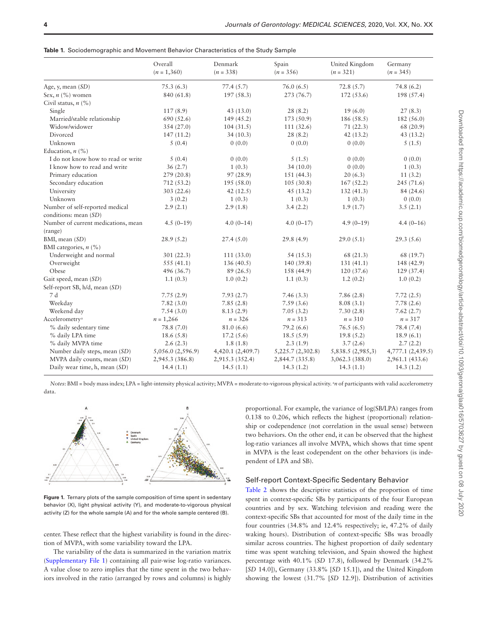<span id="page-3-0"></span>

|  | <b>Table 1.</b> Sociodemographic and Movement Behavior Characteristics of the Study Sample |  |  |  |
|--|--------------------------------------------------------------------------------------------|--|--|--|
|--|--------------------------------------------------------------------------------------------|--|--|--|

|                                     | Overall<br>$(n = 1,360)$ | Denmark<br>$(n = 338)$ | Spain<br>$(n = 356)$ | United Kingdom<br>$(n = 321)$ | Germany<br>$(n = 345)$ |
|-------------------------------------|--------------------------|------------------------|----------------------|-------------------------------|------------------------|
| Age, y, mean (SD)                   | 75.3(6.3)                | 77.4(5.7)              | 76.0(6.5)            | 72.8(5.7)                     | 74.8(6.2)              |
| Sex, $n$ (%) women                  | 840 (61.8)               | 197(58.3)              | 273 (76.7)           | 172(53.6)                     | 198 (57.4)             |
| Civil status, $n$ (%)               |                          |                        |                      |                               |                        |
| Single                              | 117(8.9)                 | 43 (13.0)              | 28(8.2)              | 19(6.0)                       | 27(8.3)                |
| Married/stable relationship         | 690 (52.6)               | 149 (45.2)             | 173 (50.9)           | 186(58.5)                     | 182(56.0)              |
| Widow/widower                       | 354 (27.0)               | 104(31.5)              | 111(32.6)            | 71(22.3)                      | 68 (20.9)              |
| Divorced                            | 147(11.2)                | 34(10.3)               | 28(8.2)              | 42(13.2)                      | 43(13.2)               |
| Unknown                             | 5(0.4)                   | 0(0.0)                 | 0(0.0)               | 0(0.0)                        | 5(1.5)                 |
| Education, $n$ (%)                  |                          |                        |                      |                               |                        |
| I do not know how to read or write  | 5(0.4)                   | 0(0.0)                 | 5(1.5)               | 0(0.0)                        | 0(0.0)                 |
| I know how to read and write        | 36(2.7)                  | 1(0.3)                 | 34(10.0)             | 0(0.0)                        | 1(0.3)                 |
| Primary education                   | 279(20.8)                | 97 (28.9)              | 151(44.3)            | 20(6.3)                       | 11(3.2)                |
| Secondary education                 | 712(53.2)                | 195(58.0)              | 105(30.8)            | 167(52.2)                     | 245(71.6)              |
| University                          | 303(22.6)                | 42(12.5)               | 45(13.2)             | 132(41.3)                     | 84 (24.6)              |
| Unknown                             | 3(0.2)                   | 1(0.3)                 | 1(0.3)               | 1(0.3)                        | 0(0.0)                 |
| Number of self-reported medical     | 2.9(2.1)                 | 2.9(1.8)               | 3.4(2.2)             | 1.9(1.7)                      | 3.5(2.1)               |
| conditions: mean (SD)               |                          |                        |                      |                               |                        |
| Number of current medications, mean | $4.5(0-19)$              | $4.0(0-14)$            | $4.0(0-17)$          | $4.9(0-19)$                   | $4.4(0-16)$            |
| (range)                             |                          |                        |                      |                               |                        |
| BMI, mean (SD)                      | 28.9(5.2)                | 27.4(5.0)              | 29.8(4.9)            | 29.0(5.1)                     | 29.3(5.6)              |
| BMI categories, $n$ (%)             |                          |                        |                      |                               |                        |
| Underweight and normal              | 301(22.3)                | 111(33.0)              | 54 (15.3)            | 68 (21.3)                     | 68 (19.7)              |
| Overweight                          | 555(41.1)                | 136(40.5)              | 140 (39.8)           | 131(41.1)                     | 148 (42.9)             |
| Obese                               | 496 (36.7)               | 89(26.5)               | 158 (44.9)           | 120(37.6)                     | 129 (37.4)             |
| Gait speed, mean (SD)               | 1.1(0.3)                 | 1.0(0.2)               | 1.1(0.3)             | 1.2(0.2)                      | 1.0(0.2)               |
| Self-report SB, h/d, mean (SD)      |                          |                        |                      |                               |                        |
| 7 d                                 | 7.75(2.9)                | 7.93(2.7)              | 7.46(3.3)            | 7.86(2.8)                     | 7.72(2.5)              |
| Weekday                             | 7.82(3.0)                | 7.85(2.8)              | 7.59(3.6)            | 8.08(3.1)                     | 7.78(2.6)              |
| Weekend day                         | 7.54(3.0)                | 8.13(2.9)              | 7.05(3.2)            | 7.30(2.8)                     | 7.62(2.7)              |
| Accelerometry <sup>a</sup>          | $n = 1,266$              | $n = 326$              | $n = 313$            | $n = 310$                     | $n = 317$              |
| % daily sedentary time              | 78.8 (7.0)               | 81.0(6.6)              | 79.2(6.6)            | 76.5(6.5)                     | 78.4 (7.4)             |
| % daily LPA time                    | 18.6(5.8)                | 17.2(5.6)              | 18.5(5.9)            | 19.8(5.2)                     | 18.9(6.1)              |
| % daily MVPA time                   | 2.6(2.3)                 | 1.8(1.8)               | 2.3(1.9)             | 3.7(2.6)                      | 2.7(2.2)               |
| Number daily steps, mean (SD)       | 5,056.0 (2,596.9)        | 4,420.1 (2,409.7)      | 5,225.7(2,302.8)     | 5,838.5 (2,985,3)             | 4,777.1 (2,439.5)      |
| MVPA daily counts, mean (SD)        | 2,945.3 (386.8)          | 2,915.3 (352.4)        | 2,844.7 (335.8)      | 3,062.3 (388.0)               | 2,961.1 (433.6)        |
| Daily wear time, h, mean (SD)       | 14.4(1.1)                | 14.5(1.1)              | 14.3(1.2)            | 14.3(1.1)                     | 14.3(1.2)              |

*Notes*: BMI = body mass index; LPA = light-intensity physical activity; MVPA = moderate-to-vigorous physical activity. <sup>2</sup>n of participants with valid accelerometry data.



<span id="page-3-1"></span>**Figure 1.** Ternary plots of the sample composition of time spent in sedentary behavior (X), light physical activity (Y), and moderate-to-vigorous physical activity (Z) for the whole sample (A) and for the whole sample centered (B).

center. These reflect that the highest variability is found in the direction of MVPA, with some variability toward the LPA.

The variability of the data is summarized in the variation matrix [\(Supplementary File 1\)](http://academic.oup.com/biomedgerontology/article-lookup/doi/10.1093/gerona/glaa016#supplementary-data) containing all pair-wise log-ratio variances. A value close to zero implies that the time spent in the two behaviors involved in the ratio (arranged by rows and columns) is highly

proportional. For example, the variance of log(SB/LPA) ranges from 0.138 to 0.206, which reflects the highest (proportional) relationship or codependence (not correlation in the usual sense) between two behaviors. On the other end, it can be observed that the highest log-ratio variances all involve MVPA, which shows that time spent in MVPA is the least codependent on the other behaviors (is independent of LPA and SB).

#### Self-report Context-Specific Sedentary Behavior

[Table 2](#page-4-0) shows the descriptive statistics of the proportion of time spent in context-specific SBs by participants of the four European countries and by sex. Watching television and reading were the context-specific SBs that accounted for most of the daily time in the four countries (34.8% and 12.4% respectively; ie, 47.2% of daily waking hours). Distribution of context-specific SBs was broadly similar across countries. The highest proportion of daily sedentary time was spent watching television, and Spain showed the highest percentage with 40.1% (*SD* 17.8), followed by Denmark (34.2% [*SD* 14.0]), Germany (33.8% [*SD* 15.1]), and the United Kingdom showing the lowest (31.7% [*SD* 12.9]). Distribution of activities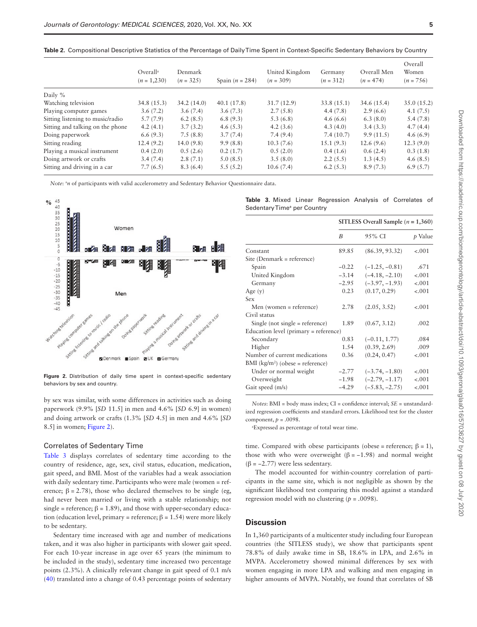<span id="page-4-0"></span>

|  | Table 2. Compositional Descriptive Statistics of the Percentage of Daily Time Spent in Context-Specific Sedentary Behaviors by Country |  |
|--|----------------------------------------------------------------------------------------------------------------------------------------|--|
|--|----------------------------------------------------------------------------------------------------------------------------------------|--|

|                                  | Overal <sup>a</sup><br>$(n = 1,230)$ | Denmark<br>$(n = 325)$ | Spain $(n = 284)$ | United Kingdom<br>$(n = 309)$ | Germany<br>$(n = 312)$ | Overall Men<br>$(n = 474)$ | Overall<br>Women<br>$(n = 756)$ |
|----------------------------------|--------------------------------------|------------------------|-------------------|-------------------------------|------------------------|----------------------------|---------------------------------|
| Daily %                          |                                      |                        |                   |                               |                        |                            |                                 |
| Watching television              | 34.8(15.3)                           | 34.2(14.0)             | 40.1(17.8)        | 31.7(12.9)                    | 33.8(15.1)             | 34.6(15.4)                 | 35.0(15.2)                      |
| Playing computer games           | 3.6(7.2)                             | 3.6(7.4)               | 3.6(7.3)          | 2.7(5.8)                      | 4.4(7.8)               | 2.9(6.6)                   | 4.1(7.5)                        |
| Sitting listening to music/radio | 5.7(7.9)                             | 6.2(8.5)               | 6.8(9.3)          | 5.3(6.8)                      | 4.6(6.6)               | 6.3(8.0)                   | 5.4(7.8)                        |
| Sitting and talking on the phone | 4.2(4.1)                             | 3.7(3.2)               | 4.6(5.3)          | 4.2(3.6)                      | 4.3(4.0)               | 3.4(3.3)                   | 4.7(4.4)                        |
| Doing paperwork                  | 6.6(9.3)                             | 7.5(8.8)               | 3.7(7.4)          | 7.4(9.4)                      | 7.4(10.7)              | 9.9(11.5)                  | 4.6(6.9)                        |
| Sitting reading                  | 12.4(9.2)                            | 14.0(9.8)              | 9.9(8.8)          | 10.3(7.6)                     | 15.1(9.3)              | 12.6(9.6)                  | 12.3(9.0)                       |
| Playing a musical instrument     | 0.4(2.0)                             | 0.5(2.6)               | 0.2(1.7)          | 0.5(2.0)                      | 0.4(1.6)               | 0.6(2.4)                   | 0.3(1.8)                        |
| Doing artwork or crafts          | 3.4(7.4)                             | 2.8(7.1)               | 5.0(8.5)          | 3.5(8.0)                      | 2.2(5.5)               | 1.3(4.5)                   | 4.6(8.5)                        |
| Sitting and driving in a car     | 7.7(6.5)                             | 8.3(6.4)               | 5.5(5.2)          | 10.6(7.4)                     | 6.2(5.3)               | 8.9(7.3)                   | 6.9(5.7)                        |

*Note*: <sup>a</sup>n of participants with valid accelerometry and Sedentary Behavior Questionnaire data.



<span id="page-4-1"></span>

by sex was similar, with some differences in activities such as doing paperwork (9.9% [*SD* 11.5] in men and 4.6% [*SD* 6.9] in women) and doing artwork or crafts (1.3% [*SD* 4.5] in men and 4.6% [*SD* 8.5] in women; [Figure 2\)](#page-4-1).

#### Correlates of Sedentary Time

Table 3 displays correlates of sedentary time according to the country of residence, age, sex, civil status, education, medication, gait speed, and BMI. Most of the variables had a weak association with daily sedentary time. Participants who were male (women = reference;  $\beta = 2.78$ ), those who declared themselves to be single (eg, had never been married or living with a stable relationship; not single = reference;  $\beta$  = 1.89), and those with upper-secondary education (education level, primary = reference;  $β = 1.54$ ) were more likely to be sedentary.

Sedentary time increased with age and number of medications taken, and it was also higher in participants with slower gait speed. For each 10-year increase in age over 65 years (the minimum to be included in the study), sedentary time increased two percentage points (2.3%). A clinically relevant change in gait speed of 0.1 m/s [\(40](#page-7-21)) translated into a change of 0.43 percentage points of sedentary

<span id="page-4-2"></span>

|                                         | Table 3. Mixed Linear Regression Analysis of Correlates of |  |  |
|-----------------------------------------|------------------------------------------------------------|--|--|
| Sedentary Time <sup>a</sup> per Country |                                                            |  |  |

|                                       | SITLESS Overall Sample ( $n = 1,360$ ) |                  |         |  |  |
|---------------------------------------|----------------------------------------|------------------|---------|--|--|
|                                       | B                                      | 95% CI           | p Value |  |  |
| Constant                              | 89.85                                  | (86.39, 93.32)   | $-.001$ |  |  |
| Site (Denmark = reference)            |                                        |                  |         |  |  |
| Spain                                 | $-0.22$                                | $(-1.25, -0.81)$ | .671    |  |  |
| United Kingdom                        | $-3.14$                                | $(-4.18, -2.10)$ | $-.001$ |  |  |
| Germany                               | $-2.95$                                | $(-3.97, -1.93)$ | $-.001$ |  |  |
| Age $(y)$                             | 0.23                                   | (0.17, 0.29)     | $-.001$ |  |  |
| Sex                                   |                                        |                  |         |  |  |
| Men (women = reference)               | 2.78                                   | (2.05, 3.52)     | $-.001$ |  |  |
| Civil status                          |                                        |                  |         |  |  |
| Single (not single $=$ reference)     | 1.89                                   | (0.67, 3.12)     | .002    |  |  |
| Education level (primary = reference) |                                        |                  |         |  |  |
| Secondary                             | 0.83                                   | $(-0.11, 1.77)$  | .084    |  |  |
| Higher                                | 1.54                                   | (0.39, 2.69)     | .009    |  |  |
| Number of current medications         | 0.36                                   | (0.24, 0.47)     | $-.001$ |  |  |
| $BMI (kg/m2) (obese = reference)$     |                                        |                  |         |  |  |
| Under or normal weight                | $-2.77$                                | $(-3.74, -1.80)$ | $-.001$ |  |  |
| Overweight                            | $-1.98$                                | $(-2.79, -1.17)$ | $-.001$ |  |  |
| Gait speed (m/s)                      | $-4.29$                                | $(-5.83, -2.75)$ | $-.001$ |  |  |

*Notes*: BMI = body mass index; CI = confidence interval; *SE* = unstandardized regression coefficients and standard errors. Likelihood test for the cluster component,  $p = .0098$ .

a Expressed as percentage of total wear time.

time. Compared with obese participants (obese = reference;  $\beta = 1$ ), those with who were overweight ( $\beta$  = -1.98) and normal weight ( $\beta$  = -2.77) were less sedentary.

The model accounted for within-country correlation of participants in the same site, which is not negligible as shown by the significant likelihood test comparing this model against a standard regression model with no clustering (*p* = .0098).

### **Discussion**

In 1,360 participants of a multicenter study including four European countries (the SITLESS study), we show that participants spent 78.8% of daily awake time in SB, 18.6% in LPA, and 2.6% in MVPA. Accelerometry showed minimal differences by sex with women engaging in more LPA and walking and men engaging in higher amounts of MVPA. Notably, we found that correlates of SB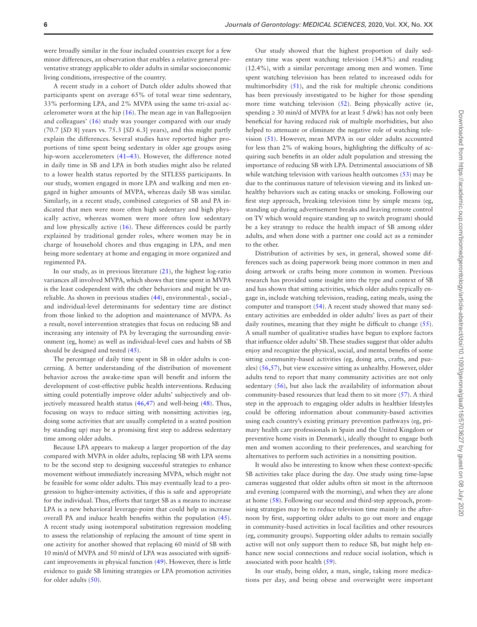were broadly similar in the four included countries except for a few minor differences, an observation that enables a relative general preventative strategy applicable to older adults in similar socioeconomic living conditions, irrespective of the country.

A recent study in a cohort of Dutch older adults showed that participants spent on average 65% of total wear time sedentary, 33% performing LPA, and 2% MVPA using the same tri-axial accelerometer worn at the hip ([16](#page-7-3)). The mean age in van Ballegooijen and colleagues' [\(16](#page-7-3)) study was younger compared with our study (70.7 [*SD* 8] years vs. 75.3 [*SD* 6.3] years), and this might partly explain the differences. Several studies have reported higher proportions of time spent being sedentary in older age groups using hip-worn accelerometers (41–43). However, the difference noted in daily time in SB and LPA in both studies might also be related to a lower health status reported by the SITLESS participants. In our study, women engaged in more LPA and walking and men engaged in higher amounts of MVPA, whereas daily SB was similar. Similarly, in a recent study, combined categories of SB and PA indicated that men were more often high sedentary and high physically active, whereas women were more often low sedentary and low physically active [\(16](#page-7-3)). These differences could be partly explained by traditional gender roles, where women may be in charge of household chores and thus engaging in LPA, and men being more sedentary at home and engaging in more organized and regimented PA.

In our study, as in previous literature [\(21\)](#page-7-5), the highest log-ratio variances all involved MVPA, which shows that time spent in MVPA is the least codependent with the other behaviors and might be unreliable. As shown in previous studies [\(44](#page-7-22)), environmental-, social-, and individual-level determinants for sedentary time are distinct from those linked to the adoption and maintenance of MVPA. As a result, novel intervention strategies that focus on reducing SB and increasing any intensity of PA by leveraging the surrounding environment (eg, home) as well as individual-level cues and habits of SB should be designed and tested [\(45](#page-7-23)).

The percentage of daily time spent in SB in older adults is concerning. A better understanding of the distribution of movement behavior across the awake-time span will benefit and inform the development of cost-effective public health interventions. Reducing sitting could potentially improve older adults' subjectively and objectively measured health status ([46,](#page-7-24)[47\)](#page-7-25) and well-being [\(48](#page-7-26)). Thus, focusing on ways to reduce sitting with nonsitting activities (eg, doing some activities that are usually completed in a seated position by standing up) may be a promising first step to address sedentary time among older adults.

Because LPA appears to makeup a larger proportion of the day compared with MVPA in older adults, replacing SB with LPA seems to be the second step to designing successful strategies to enhance movement without immediately increasing MVPA, which might not be feasible for some older adults. This may eventually lead to a progression to higher-intensity activities, if this is safe and appropriate for the individual. Thus, efforts that target SB as a means to increase LPA is a new behavioral leverage-point that could help us increase overall PA and induce health benefits within the population [\(45](#page-7-23)). A recent study using isotemporal substitution regression modeling to assess the relationship of replacing the amount of time spent in one activity for another showed that replacing 60 min/d of SB with 10 min/d of MVPA and 50 min/d of LPA was associated with significant improvements in physical function [\(49](#page-7-27)). However, there is little evidence to guide SB limiting strategies or LPA promotion activities for older adults ([50\)](#page-7-28).

Our study showed that the highest proportion of daily sedentary time was spent watching television (34.8%) and reading (12.4%), with a similar percentage among men and women. Time spent watching television has been related to increased odds for multimorbidity [\(51](#page-8-0)), and the risk for multiple chronic conditions has been previously investigated to be higher for those spending more time watching television ([52\)](#page-8-1). Being physically active (ie, spending  $\geq$  30 min/d of MVPA for at least 5 d/wk) has not only been beneficial for having reduced risk of multiple morbidities, but also helped to attenuate or eliminate the negative role of watching television [\(51\)](#page-8-0). However, mean MVPA in our older adults accounted for less than 2% of waking hours, highlighting the difficulty of acquiring such benefits in an older adult population and stressing the importance of reducing SB with LPA. Detrimental associations of SB while watching television with various health outcomes [\(53](#page-8-2)) may be due to the continuous nature of television viewing and its linked unhealthy behaviors such as eating snacks or smoking. Following our first step approach, breaking television time by simple means (eg, standing up during advertisement breaks and leaving remote control on TV which would require standing up to switch program) should be a key strategy to reduce the health impact of SB among older adults, and when done with a partner one could act as a reminder to the other.

Distribution of activities by sex, in general, showed some differences such as doing paperwork being more common in men and doing artwork or crafts being more common in women. Previous research has provided some insight into the type and context of SB and has shown that sitting activities, which older adults typically engage in, include watching television, reading, eating meals, using the computer and transport ([54\)](#page-8-3). A recent study showed that many sedentary activities are embedded in older adults' lives as part of their daily routines, meaning that they might be difficult to change [\(55](#page-8-4)). A small number of qualitative studies have begun to explore factors that influence older adults' SB. These studies suggest that older adults enjoy and recognize the physical, social, and mental benefits of some sitting community-based activities (eg, doing arts, crafts, and puzzles) [\(56](#page-8-5),[57](#page-8-6)), but view excessive sitting as unhealthy. However, older adults tend to report that many community activities are not only sedentary [\(56](#page-8-5)), but also lack the availability of information about community-based resources that lead them to sit more ([57\)](#page-8-6). A third step in the approach to engaging older adults in healthier lifestyles could be offering information about community-based activities using each country's existing primary prevention pathways (eg, primary health care professionals in Spain and the United Kingdom or preventive home visits in Denmark), ideally thought to engage both men and women according to their preferences, and searching for alternatives to perform such activities in a nonsitting position.

It would also be interesting to know when these context-specific SB activities take place during the day. One study using time-lapse cameras suggested that older adults often sit most in the afternoon and evening (compared with the morning), and when they are alone at home [\(58](#page-8-7)). Following our second and third-step approach, promising strategies may be to reduce television time mainly in the afternoon by first, supporting older adults to go out more and engage in community-based activities in local facilities and other resources (eg, community groups). Supporting older adults to remain socially active will not only support them to reduce SB, but might help enhance new social connections and reduce social isolation, which is associated with poor health ([59\)](#page-8-8).

In our study, being older, a man, single, taking more medications per day, and being obese and overweight were important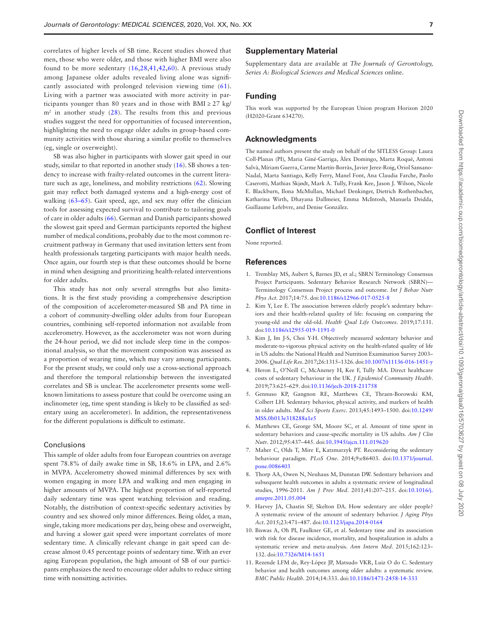correlates of higher levels of SB time. Recent studies showed that men, those who were older, and those with higher BMI were also found to be more sedentary [\(16,](#page-7-3)[28](#page-7-29)[,41,](#page-7-30)[42](#page-7-31)[,60](#page-8-9)). A previous study among Japanese older adults revealed living alone was significantly associated with prolonged television viewing time ([61\)](#page-8-10). Living with a partner was associated with more activity in participants younger than 80 years and in those with  $BMI \geq 27$  kg/  $m<sup>2</sup>$  in another study [\(28](#page-7-29)). The results from this and previous studies suggest the need for opportunities of focused intervention, highlighting the need to engage older adults in group-based community activities with those sharing a similar profile to themselves (eg, single or overweight).

SB was also higher in participants with slower gait speed in our study, similar to that reported in another study [\(16](#page-7-3)). SB shows a tendency to increase with frailty-related outcomes in the current literature such as age, loneliness, and mobility restrictions ([62\)](#page-8-11). Slowing gait may reflect both damaged systems and a high-energy cost of walking (63–65). Gait speed, age, and sex may offer the clinician tools for assessing expected survival to contribute to tailoring goals of care in older adults [\(66](#page-8-12)). German and Danish participants showed the slowest gait speed and German participants reported the highest number of medical conditions, probably due to the most common recruitment pathway in Germany that used invitation letters sent from health professionals targeting participants with major health needs. Once again, our fourth step is that these outcomes should be borne in mind when designing and prioritizing health-related interventions for older adults.

This study has not only several strengths but also limitations. It is the first study providing a comprehensive description of the composition of accelerometer-measured SB and PA time in a cohort of community-dwelling older adults from four European countries, combining self-reported information not available from accelerometry. However, as the accelerometer was not worn during the 24-hour period, we did not include sleep time in the compositional analysis, so that the movement composition was assessed as a proportion of wearing time, which may vary among participants. For the present study, we could only use a cross-sectional approach and therefore the temporal relationship between the investigated correlates and SB is unclear. The accelerometer presents some wellknown limitations to assess posture that could be overcome using an inclinometer (eg, time spent standing is likely to be classified as sedentary using an accelerometer). In addition, the representativeness for the different populations is difficult to estimate.

#### Conclusions

This sample of older adults from four European countries on average spent 78.8% of daily awake time in SB, 18.6% in LPA, and 2.6% in MVPA. Accelerometry showed minimal differences by sex with women engaging in more LPA and walking and men engaging in higher amounts of MVPA. The highest proportion of self-reported daily sedentary time was spent watching television and reading. Notably, the distribution of context-specific sedentary activities by country and sex showed only minor differences. Being older, a man, single, taking more medications per day, being obese and overweight, and having a slower gait speed were important correlates of more sedentary time. A clinically relevant change in gait speed can decrease almost 0.45 percentage points of sedentary time. With an ever aging European population, the high amount of SB of our participants emphasizes the need to encourage older adults to reduce sitting time with nonsitting activities.

#### **Supplementary Material**

Supplementary data are available at *The Journals of Gerontology, Series A: Biological Sciences and Medical Sciences* online.

## **Funding**

This work was supported by the European Union program Horizon 2020 (H2020-Grant 634270).

#### **Acknowledgments**

The named authors present the study on behalf of the SITLESS Group: Laura Coll-Planas (PI), Maria Giné-Garriga, Àlex Domingo, Marta Roqué, Antoni Salvà, Míriam Guerra, Carme Martín-Borràs, Javier Jerez-Roig, Oriol Sansano-Nadal, Marta Santiago, Kelly Ferry, Manel Font, Ana Claudia Farche, Paolo Caserotti, Mathias Skjødt, Mark A. Tully, Frank Kee, Jason J. Wilson, Nicole E. Blackburn, Ilona McMullan, Michael Denkinger, Dietrich Rothenbacher, Katharina Wirth, Dhayana Dallmeier, Emma McIntosh, Manuela Deidda, Guillaume Lefebvre, and Denise González.

# **Conflict of Interest**

None reported.

#### **References**

- <span id="page-6-0"></span>1. Tremblay MS, Aubert S, Barnes JD, et al.; SBRN Terminology Consensus Project Participants. Sedentary Behavior Research Network (SBRN)— Terminology Consensus Project process and outcome. *Int J Behav Nutr Phys Act*. 2017;14:75. doi:[10.1186/s12966-017-0525-8](https://doi.org/10.1186/s12966-017-0525-8)
- <span id="page-6-1"></span>2. Kim Y, Lee E. The association between elderly people's sedentary behaviors and their health-related quality of life: focusing on comparing the young-old and the old-old. *Health Qual Life Outcomes*. 2019;17:131. doi[:10.1186/s12955-019-1191-0](https://doi.org/10.1186/s12955-019-1191-0)
- <span id="page-6-2"></span>3. Kim J, Im J-S, Choi Y-H. Objectively measured sedentary behavior and moderate-to-vigorous physical activity on the health-related quality of life in US adults: the National Health and Nutrition Examination Survey 2003– 2006. *Qual Life Res*. 2017;26:1315–1326. doi[:10.1007/s11136-016-1451-y](https://doi.org/10.1007/s11136-016-1451-y)
- <span id="page-6-3"></span>4. Heron L, O'Neill C, McAneney H, Kee F, Tully MA. Direct healthcare costs of sedentary behaviour in the UK. *J Epidemiol Community Health*. 2019;73:625–629. doi[:10.1136/jech-2018-211758](https://doi.org/10.1136/jech-2018-211758)
- <span id="page-6-4"></span>5. Gennuso KP, Gangnon RE, Matthews CE, Thraen-Borowski KM, Colbert LH. Sedentary behavior, physical activity, and markers of health in older adults. *Med Sci Sports Exerc*. 2013;45:1493–1500. doi[:10.1249/](https://doi.org/10.1249/MSS.0b013e318288a1e5) [MSS.0b013e318288a1e5](https://doi.org/10.1249/MSS.0b013e318288a1e5)
- <span id="page-6-5"></span>6. Matthews CE, George SM, Moore SC, et al. Amount of time spent in sedentary behaviors and cause-specific mortality in US adults. *Am J Clin Nutr*. 2012;95:437–445. doi[:10.3945/ajcn.111.019620](https://doi.org/10.3945/ajcn.111.019620)
- <span id="page-6-6"></span>7. Maher C, Olds T, Mire E, Katzmarzyk PT. Reconsidering the sedentary behaviour paradigm. *PLoS One*. 2014;9:e86403. doi:[10.1371/journal.](https://doi.org/10.1371/journal.pone.0086403) [pone.0086403](https://doi.org/10.1371/journal.pone.0086403)
- <span id="page-6-7"></span>8. Thorp AA, Owen N, Neuhaus M, Dunstan DW. Sedentary behaviors and subsequent health outcomes in adults a systematic review of longitudinal studies, 1996-2011. *Am J Prev Med*. 2011;41:207–215. doi:[10.1016/j.](https://doi.org/10.1016/j.amepre.2011.05.004) [amepre.2011.05.004](https://doi.org/10.1016/j.amepre.2011.05.004)
- <span id="page-6-8"></span>9. Harvey JA, Chastin SF, Skelton DA. How sedentary are older people? A systematic review of the amount of sedentary behavior. *J Aging Phys Act*. 2015;23:471–487. doi[:10.1123/japa.2014-0164](https://doi.org/10.1123/japa.2014-0164)
- 10. Biswas A, Oh PI, Faulkner GE, et al. Sedentary time and its association with risk for disease incidence, mortality, and hospitalization in adults a systematic review and meta-analysis. *Ann Intern Med*. 2015;162:123– 132. doi:[10.7326/M14-1651](https://doi.org/10.7326/M14-1651)
- 11. Rezende LFM de, Rey-López JP, Matsudo VKR, Luiz O do C. Sedentary behavior and health outcomes among older adults: a systematic review. *BMC Public Health*. 2014;14:333. doi[:10.1186/1471-2458-14-333](https://doi.org/10.1186/1471-2458-14-333)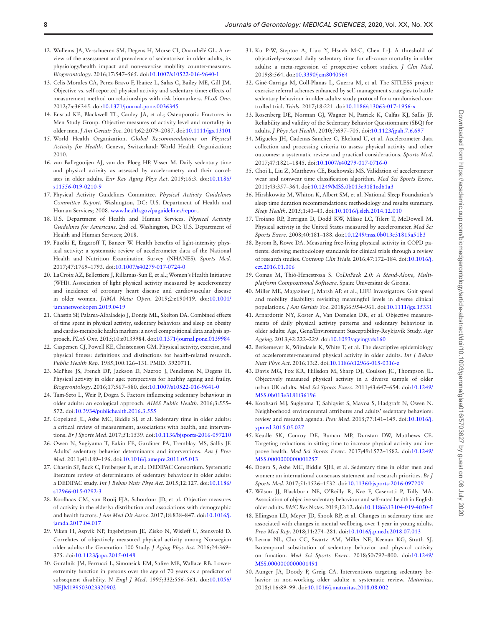- 12. Wullems JA, Verschueren SM, Degens H, Morse CI, Onambélé GL. A review of the assessment and prevalence of sedentarism in older adults, its physiology/health impact and non-exercise mobility counter-measures. *Biogerontology*. 2016;17:547–565. doi[:10.1007/s10522-016-9640-1](https://doi.org/10.1007/s10522-016-9640-1)
- <span id="page-7-0"></span>13. Celis-Morales CA, Perez-Bravo F, Ibañez L, Salas C, Bailey ME, Gill JM. Objective vs. self-reported physical activity and sedentary time: effects of measurement method on relationships with risk biomarkers. *PLoS One*. 2012;7:e36345. doi:[10.1371/journal.pone.0036345](https://doi.org/10.1371/journal.pone.0036345)
- <span id="page-7-1"></span>14. Ensrud KE, Blackwell TL, Cauley JA, et al.; Osteoporotic Fractures in Men Study Group. Objective measures of activity level and mortality in older men. *J Am Geriatr Soc*. 2014;62:2079–2087. doi:[10.1111/jgs.13101](https://doi.org/10.1111/jgs.13101)
- <span id="page-7-2"></span>15. World Health Organization. *Global Recommendations on Physical Activity for Health*. Geneva, Switzerland: World Health Organization; 2010.
- <span id="page-7-3"></span>16. van Ballegooijen AJ, van der Ploeg HP, Visser M. Daily sedentary time and physical activity as assessed by accelerometry and their correlates in older adults. *Eur Rev Aging Phys Act*. 2019;16:3. doi[:10.1186/](https://doi.org/10.1186/s11556-019-0210-9) [s11556-019-0210-9](https://doi.org/10.1186/s11556-019-0210-9)
- <span id="page-7-4"></span>17. Physical Activity Guidelines Committee. *Physical Activity Guidelines Committee Report*. Washington, DC: U.S. Department of Health and Human Services; 2008. [www.health.gov/paguidelines/report](http://www.health.gov/paguidelines/report).
- 18. U.S. Department of Health and Human Services. *Physical Activity Guidelines for Americans*. 2nd ed. Washington, DC: U.S. Department of Health and Human Services; 2018.
- 19. Füzéki E, Engeroff T, Banzer W. Health benefits of light-intensity physical activity: a systematic review of accelerometer data of the National Health and Nutrition Examination Survey (NHANES). *Sports Med*. 2017;47:1769–1793. doi:[10.1007/s40279-017-0724-0](https://doi.org/10.1007/s40279-017-0724-0)
- 20. LaCroix AZ, Bellettiere J, Rillamas-Sun E, et al.; Women's Health Initiative (WHI). Association of light physical activity measured by accelerometry and incidence of coronary heart disease and cardiovascular disease in older women. *JAMA Netw Open*. 2019;2:e190419. doi[:10.1001/](https://doi.org/10.1001/jamanetworkopen.2019.0419) [jamanetworkopen.2019.0419](https://doi.org/10.1001/jamanetworkopen.2019.0419)
- <span id="page-7-5"></span>21. Chastin SF, Palarea-Albaladejo J, Dontje ML, Skelton DA. Combined effects of time spent in physical activity, sedentary behaviors and sleep on obesity and cardio-metabolic health markers: a novel compositional data analysis approach. *PLoS One*. 2015;10:e0139984. doi[:10.1371/journal.pone.0139984](https://doi.org/10.1371/journal.pone.0139984)
- <span id="page-7-6"></span>22. Caspersen CJ, Powell KE, Christenson GM. Physical activity, exercise, and physical fitness: definitions and distinctions for health-related research. *Public Health Rep*. 1985;100:126–131. PMID: 3920711.
- <span id="page-7-7"></span>23. McPhee JS, French DP, Jackson D, Nazroo J, Pendleton N, Degens H. Physical activity in older age: perspectives for healthy ageing and frailty. *Biogerontology*. 2016;17:567–580. doi[:10.1007/s10522-016-9641-0](https://doi.org/10.1007/s10522-016-9641-0)
- <span id="page-7-8"></span>24. Tam-Seto L, Weir P, Dogra S. Factors influencing sedentary behaviour in older adults: an ecological approach. *AIMS Public Health*. 2016;3:555– 572. doi:[10.3934/publichealth.2016.3.555](https://doi.org/10.3934/publichealth.2016.3.555)
- <span id="page-7-9"></span>25. Copeland JL, Ashe MC, Biddle SJ, et al. Sedentary time in older adults: a critical review of measurement, associations with health, and interventions. *Br J Sports Med*. 2017;51:1539. doi:[10.1136/bjsports-2016-097210](https://doi.org/10.1136/bjsports-2016-097210)
- <span id="page-7-10"></span>26. Owen N, Sugiyama T, Eakin EE, Gardiner PA, Tremblay MS, Sallis JF. Adults' sedentary behavior determinants and interventions. *Am J Prev Med*. 2011;41:189–196. doi[:10.1016/j.amepre.2011.05.013](https://doi.org/10.1016/j.amepre.2011.05.013)
- 27. Chastin SF, Buck C, Freiberger E, et al.; DEDIPAC Consortium. Systematic literature review of determinants of sedentary behaviour in older adults: a DEDIPAC study. *Int J Behav Nutr Phys Act*. 2015;12:127. doi[:10.1186/](https://doi.org/10.1186/s12966-015-0292-3) [s12966-015-0292-3](https://doi.org/10.1186/s12966-015-0292-3)
- <span id="page-7-29"></span>28. Koolhaas CM, van Rooij FJA, Schoufour JD, et al. Objective measures of activity in the elderly: distribution and associations with demographic and health factors. *J Am Med Dir Assoc*. 2017;18:838–847. doi:[10.1016/j.](https://doi.org/10.1016/j.jamda.2017.04.017) [jamda.2017.04.017](https://doi.org/10.1016/j.jamda.2017.04.017)
- 29. Viken H, Aspvik NP, Ingebrigtsen JE, Zisko N, Wisløff U, Stensvold D. Correlates of objectively measured physical activity among Norwegian older adults: the Generation 100 Study. *J Aging Phys Act*. 2016;24:369– 375. doi:[10.1123/japa.2015-0148](https://doi.org/10.1123/japa.2015-0148)
- <span id="page-7-11"></span>30. Guralnik JM, Ferrucci L, Simonsick EM, Salive ME, Wallace RB. Lowerextremity function in persons over the age of 70 years as a predictor of subsequent disability. *N Engl J Med*. 1995;332:556–561. doi[:10.1056/](https://doi.org/10.1056/NEJM199503023320902) [NEJM199503023320902](https://doi.org/10.1056/NEJM199503023320902)
- <span id="page-7-12"></span>31. Ku P-W, Steptoe A, Liao Y, Hsueh M-C, Chen L-J. A threshold of objectively-assessed daily sedentary time for all-cause mortality in older adults: a meta-regression of prospective cohort studies. *J Clin Med*. 2019;8:564. doi:[10.3390/jcm8040564](https://doi.org/10.3390/jcm8040564)
- <span id="page-7-13"></span>32. Giné-Garriga M, Coll-Planas L, Guerra M, et al. The SITLESS project: exercise referral schemes enhanced by self-management strategies to battle sedentary behaviour in older adults: study protocol for a randomised controlled trial. *Trials*. 2017;18:221. doi[:10.1186/s13063-017-1956-x](https://doi.org/10.1186/s13063-017-1956-x)
- <span id="page-7-14"></span>33. Rosenberg DE, Norman GJ, Wagner N, Patrick K, Calfas KJ, Sallis JF. Reliability and validity of the Sedentary Behavior Questionnaire (SBQ) for adults. *J Phys Act Health*. 2010;7:697–705. doi[:10.1123/jpah.7.6.697](https://doi.org/10.1123/jpah.7.6.697)
- <span id="page-7-15"></span>34. Migueles JH, Cadenas-Sanchez C, Ekelund U, et al. Accelerometer data collection and processing criteria to assess physical activity and other outcomes: a systematic review and practical considerations. *Sports Med*. 2017;47:1821–1845. doi:[10.1007/s40279-017-0716-0](https://doi.org/10.1007/s40279-017-0716-0)
- <span id="page-7-16"></span>35. Choi L, Liu Z, Matthews CE, Buchowski MS. Validation of accelerometer wear and nonwear time classification algorithm. *Med Sci Sports Exerc*. 2011;43:357–364. doi[:10.1249/MSS.0b013e3181ed61a3](https://doi.org/10.1249/MSS.0b013e3181ed61a3)
- <span id="page-7-17"></span>36. Hirshkowitz M, Whiton K, Albert SM, et al. National Sleep Foundation's sleep time duration recommendations: methodology and results summary. *Sleep Health*. 2015;1:40–43. doi[:10.1016/j.sleh.2014.12.010](https://doi.org/10.1016/j.sleh.2014.12.010)
- <span id="page-7-18"></span>37. Troiano RP, Berrigan D, Dodd KW, Mâsse LC, Tilert T, McDowell M. Physical activity in the United States measured by accelerometer. *Med Sci Sports Exerc*. 2008;40:181–188. doi[:10.1249/mss.0b013e31815a51b3](https://doi.org/10.1249/mss.0b013e31815a51b3)
- <span id="page-7-19"></span>38. Byrom B, Rowe DA. Measuring free-living physical activity in COPD patients: deriving methodology standards for clinical trials through a review of research studies. *Contemp Clin Trials*. 2016;47:172–184. doi:[10.1016/j.](https://doi.org/10.1016/j.cct.2016.01.006) [cct.2016.01.006](https://doi.org/10.1016/j.cct.2016.01.006)
- <span id="page-7-20"></span>39. Comas M, Thió-Henestrosa S. *CoDaPack 2.0: A Stand-Alone, Multiplatform Compositional Software*. Spain: Universitat de Girona.
- <span id="page-7-21"></span>40. Miller ME, Magaziner J, Marsh AP, et al.; LIFE Investigators. Gait speed and mobility disability: revisiting meaningful levels in diverse clinical populations. *J Am Geriatr Soc*. 2018;66:954–961. doi:[10.1111/jgs.15331](https://doi.org/10.1111/jgs.15331)
- <span id="page-7-30"></span>41. Arnardottir NY, Koster A, Van Domelen DR, et al. Objective measurements of daily physical activity patterns and sedentary behaviour in older adults: Age, Gene/Environment Susceptibility-Reykjavik Study. *Age Ageing*. 2013;42:222–229. doi:[10.1093/ageing/afs160](https://doi.org/10.1093/ageing/afs160)
- <span id="page-7-31"></span>42. Berkemeyer K, Wijndaele K, White T, et al. The descriptive epidemiology of accelerometer-measured physical activity in older adults. *Int J Behav Nutr Phys Act*. 2016;13:2. doi:[10.1186/s12966-015-0316-z](https://doi.org/10.1186/s12966-015-0316-z)
- 43. Davis MG, Fox KR, Hillsdon M, Sharp DJ, Coulson JC, Thompson JL. Objectively measured physical activity in a diverse sample of older urban UK adults. *Med Sci Sports Exerc*. 2011;43:647–654. doi[:10.1249/](https://doi.org/10.1249/MSS.0b013e3181f36196) [MSS.0b013e3181f36196](https://doi.org/10.1249/MSS.0b013e3181f36196)
- <span id="page-7-22"></span>44. Koohsari MJ, Sugiyama T, Sahlqvist S, Mavoa S, Hadgraft N, Owen N. Neighborhood environmental attributes and adults' sedentary behaviors: review and research agenda. *Prev Med*. 2015;77:141–149. doi:[10.1016/j.](https://doi.org/10.1016/j.ypmed.2015.05.027) [ypmed.2015.05.027](https://doi.org/10.1016/j.ypmed.2015.05.027)
- <span id="page-7-23"></span>45. Keadle SK, Conroy DE, Buman MP, Dunstan DW, Matthews CE. Targeting reductions in sitting time to increase physical activity and improve health. *Med Sci Sports Exerc*. 2017;49:1572–1582. doi[:10.1249/](https://doi.org/10.1249/MSS.0000000000001257) [MSS.0000000000001257](https://doi.org/10.1249/MSS.0000000000001257)
- <span id="page-7-24"></span>46. Dogra S, Ashe MC, Biddle SJH, et al. Sedentary time in older men and women: an international consensus statement and research priorities. *Br J Sports Med*. 2017;51:1526–1532. doi[:10.1136/bjsports-2016-097209](https://doi.org/10.1136/bjsports-2016-097209)
- <span id="page-7-25"></span>47. Wilson JJ, Blackburn NE, O'Reilly R, Kee F, Caserotti P, Tully MA. Association of objective sedentary behaviour and self-rated health in English older adults. *BMC Res Notes*. 2019;12:12. doi:[10.1186/s13104-019-4050-5](https://doi.org/10.1186/s13104-019-4050-5)
- <span id="page-7-26"></span>48. Ellingson LD, Meyer JD, Shook RP, et al. Changes in sedentary time are associated with changes in mental wellbeing over 1 year in young adults. *Prev Med Rep*. 2018;11:274–281. doi:[10.1016/j.pmedr.2018.07.013](https://doi.org/10.1016/j.pmedr.2018.07.013)
- <span id="page-7-27"></span>49. Lerma NL, Cho CC, Swartz AM, Miller NE, Keenan KG, Strath SJ. Isotemporal substitution of sedentary behavior and physical activity on function. *Med Sci Sports Exerc*. 2018;50:792–800. doi[:10.1249/](https://doi.org/10.1249/MSS.0000000000001491) [MSS.0000000000001491](https://doi.org/10.1249/MSS.0000000000001491)
- <span id="page-7-28"></span>50. Aunger JA, Doody P, Greig CA. Interventions targeting sedentary behavior in non-working older adults: a systematic review. *Maturitas*. 2018;116:89–99. doi[:10.1016/j.maturitas.2018.08.002](https://doi.org/10.1016/j.maturitas.2018.08.002)